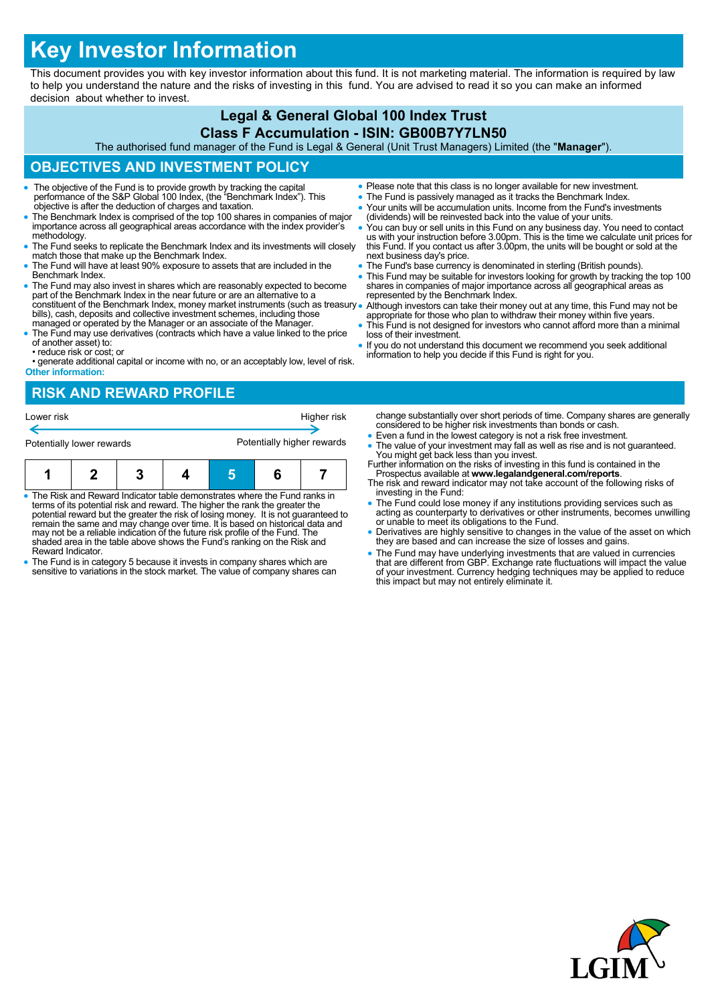# **Key Investor Information**

This document provides you with key investor information about this fund. It is not marketing material. The information is required by law to help you understand the nature and the risks of investing in this fund. You are advised to read it so you can make an informed decision about whether to invest.

# **Legal & General Global 100 Index Trust**

#### **Class F Accumulation - ISIN: GB00B7Y7LN50**

The authorised fund manager of the Fund is Legal & General (Unit Trust Managers) Limited (the "**Manager**").

### **OBJECTIVES AND INVESTMENT POLICY**

- The objective of the Fund is to provide growth by tracking the capital performance of the S&P Global 100 Index, (the "Benchmark Index"). This objective is after the deduction of charges and taxation.
- The Benchmark Index is comprised of the top 100 shares in companies of major importance across all geographical areas accordance with the index provider's methodology.
- The Fund seeks to replicate the Benchmark Index and its investments will closely match those that make up the Benchmark Index.
- The Fund will have at least 90% exposure to assets that are included in the Benchmark Index.
- The Fund may also invest in shares which are reasonably expected to become part of the Benchmark Index in the near future or are an alternative to a constituent of the Benchmark Index, money market instruments (such as treasury. bills), cash, deposits and collective investment schemes, including those managed or operated by the Manager or an associate of the Manager.
- The Fund may use derivatives (contracts which have a value linked to the price of another asset) to: • reduce risk or cost; or

• generate additional capital or income with no, or an acceptably low, level of risk. **Other information:**

- Please note that this class is no longer available for new investment.
- The Fund is passively managed as it tracks the Benchmark Index.
- Your units will be accumulation units. Income from the Fund's investments (dividends) will be reinvested back into the value of your units.
- You can buy or sell units in this Fund on any business day. You need to contact us with your instruction before 3.00pm. This is the time we calculate unit prices for this Fund. If you contact us after 3.00pm, the units will be bought or sold at the next business day's price.
- The Fund's base currency is denominated in sterling (British pounds).
- This Fund may be suitable for investors looking for growth by tracking the top 100 shares in companies of major importance across all geographical areas as represented by the Benchmark Index.
- Although investors can take their money out at any time, this Fund may not be appropriate for those who plan to withdraw their money within five years.
- This Fund is not designed for investors who cannot afford more than a minimal loss of their investment.
- If you do not understand this document we recommend you seek additional information to help you decide if this Fund is right for you.

## **RISK AND REWARD PROFILE**



- The Risk and Reward Indicator table demonstrates where the Fund ranks in terms of its potential risk and reward. The higher the rank the greater the potential reward but the greater the risk of losing money. It is not guaranteed to remain the same and may change over time. It is based on historical data and may not be a reliable indication of the future risk profile of the Fund. The shaded area in the table above shows the Fund's ranking on the Risk and Reward Indicator.
- The Fund is in category 5 because it invests in company shares which are sensitive to variations in the stock market. The value of company shares can
- change substantially over short periods of time. Company shares are generally considered to be higher risk investments than bonds or cash. Even a fund in the lowest category is not a risk free investment.
- The value of your investment may fall as well as rise and is not guaranteed. You might get back less than you invest.
- Further information on the risks of investing in this fund is contained in the Prospectus available at **www.legalandgeneral.com/reports**.
- The risk and reward indicator may not take account of the following risks of investing in the Fund:
- The Fund could lose money if any institutions providing services such as acting as counterparty to derivatives or other instruments, becomes unwilling or unable to meet its obligations to the Fund.
- Derivatives are highly sensitive to changes in the value of the asset on which they are based and can increase the size of losses and gains.
- The Fund may have underlying investments that are valued in currencies that are different from GBP. Exchange rate fluctuations will impact the value of your investment. Currency hedging techniques may be applied to reduce this impact but may not entirely eliminate it.